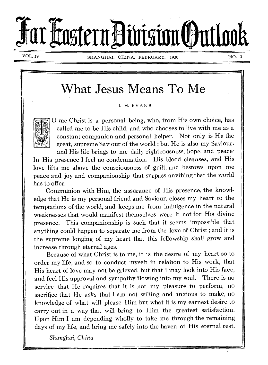# Far Faztern Division Outlook

VOL. 19 SHANGHAI, CHINA, FEBRUARY, 1930 NO. 2

## What Jesus Means To Me

I. H. EVANS



0 me Christ is a personal being, who, from His own choice, has called me to be His child, and who chooses to live with me as a constant companion and personal helper. Not only is He the great, supreme Saviour of the world ; but He is also my Saviour,

and His life brings to me daily righteousness, hope, and peace. In His presence I feel no condemnation. His blood cleanses, and His love lifts me above the consciousness of guilt, and bestows upon me peace and joy and companionship that surpass anything that the world has to offer.

Communion with Him, the assurance of His presence, the knowledge that He is my personal friend and Saviour, closes my heart to the temptations of the world, and keeps me from indulgence in the natural weaknesses that would manifest themselves were it not for His divine presence. This companionship is such that it seems impossible that anything could happen to separate me from the love of Christ ; and it is the supreme longing of my heart that this fellowship shall grow and increase through eternal ages.

Because of what Christ is to me, it is the desire of my heart so to order my life, and so to conduct myself in relation to His work, that His heart of love may not be grieved, but that I may look into His face, and feel His approval and sympathy flowing into my soul. There is no service that He requires that it is not my pleasure to perform, no sacrifice that He asks that I am not willing and anxious to make, no knowledge of what will please Him but what it is my earnest desire to carry out in a way that will bring to Him the greatest satisfaction. Upon Him I am depending wholly to take me through the remaining days of my life, and bring me safely into the haven of His eternal rest.

*Shanghai, China*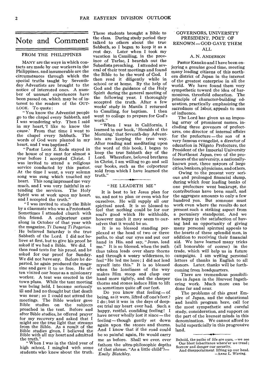### Note and Comment

#### FROM THE PHILIPPINES

MANY are the ways in which contacts are made by our workers in the Philippines, and innumerable are the circumstances through which the special truths taught by Seventhday Adventists are brought to the notice of interested ones. A number of unusual experiences have been passed on, which may be of interest to the readers of the OUT-LOOK. To quote:

" You know the Adventist people go to the chapel every Sabbath, and I was wondering why. Then I said in my heart, 'I like to know the cause.' From that time I went to<br>the chanel every Sabbath. The the chapel every Sabbath. words of God were planted in my heart, and I was baptized."

" Pastor Leon Z. Roda stayed in the house of my aunt for almost a year before I accepted Christ. I was invited to attend a religious service conducted by this pastor. At the time I went, a very solemn song was sung which touched my heart. This song impressed me very much, and I was very faithful in attending the services. The Holy tending the services. Spirit was at work upon my heart, and I accepted the truth."

" I was invited to study the Bible by a classmate who was a Protestant. Sometimes I attended church with this friend. A colporteur came along in October of that year with the magazine, *Ti Damag Ti Pagarian.*  He believed Saturday is the true Sabbath of the Lord. I did not believe at first, but to give his proof he asked if we had a Bible. We did. I then read texts for his proof, and he asked for our proof for Sunday. We did not have any. Before he departed, he again produced the magazine and gave it to us free. He often visited our home as a missionary worker. A tent was erected in the town plaza. While the tent meeting was being held, I became seriously ill and had no thought but that death was near; so I could not attend the meetings. The Bible worker gave Bible studies on the subjects preached in the tent. Before and after Bible studies, he offered prayer for my recovery and asked that I might see the true light that streams from the Bible. As a result of the Bible studies given, I believed the Bible with all my heart and admitted the truth."

When I was in the third year of high school, I mingled with some students who knew about the truth.

These students brought a Bible to the class. During study period they talked to others about the true Sabbath, so I began to keep it as a rest day. Later when I took my vacation in Camiling, in the province of Tarlac, I heardab out the Sabadista preaching. I attended several of their tent meetings and found the Bible to be the word of God. I then read it diligently while in school or at home. By the help of God and the guidance of the Holy Spirit during the general meeting of the following year, I thoroughly accepted the truth. After a few weeks' study in Manila I returned to Camiling, for baptism. I then went to college to prepare for God's work."

" When I was in California, I learned in our book, ' Heralds of the Morning,' that Seventh-day Adventists are keeping the true way. After reading and meditating upon the word of this book, I began to keep the true Sabbath day of the Lord. Wherefore, beloved brethren in Christ, I am willing to go and sell our books, such as the colporteur sold from which I have learned the truth."

#### " HE LEADETH ME"

It is best to let Jesus plan for us, and not to plan or even wish for ourselves. He will supply all our spiritual need. It is so blessed to feel that nothing could be for our soul's good which He withholds, however much it may seem to ourselves that it would be so.

It is so blessed standing perplexed at the head of two or three paths, to shut our eyes and put our hand in His, and say, " Jesus, lead me." It is so blessed, when the path thus taken leads over sharp thorns and through a weary wilderness, to feel " He led me here ; I did not lead myself into this." It is so blessed when the loneliness of the way makes Him stoop and clasp our hand more tightly, and the sharper thorns and stones induce Him to lift us sometimes quite off our feet.

Do you know that feeling— of being, as it were, lifted off one's feet ? I do ; but it was in the days of deepest trial my heart ever had. Such, a happy, restful, confiding feeling! I have never wholly lost it since—the feeling —though gently set down again upon the stones and thorns. And I know that if the road could be so painful again, He would carry me as before. Shall we ever, ever fathom the ultra-philosophic depths of that phrase, "As a little child"?— *Emily Blatchley.* 

#### GOVERNORS, UNIVERSITY PRESIDENT, POET. OF RENOWN —GOD GAVE THEM ALL

#### A. N. ANDERSON

Pastor Kaneko and I have been enjoying a genuine good time, meeting many leading citizens of this northern district of Japan in the interest of the greatest enterprise in all the world. We have found them very sympathetic toward the idea of harmonious, threefold education. The principle of character-building education, practically emphasizing the sacredness of labor, appeals to men of influence.

The Lord has given us an imposing array of prominent names, including three govenors of prefectures, one director of internal affairs for the prefecture—the son of a very famous evangelist, a director of education in Niigato Prefecture, the President of the Imperial University of Northeast Japan, two of the professors of the university, a nationallyknown poet, three mayors of large cities, bankers, physicians, and others.

Owing to the present very serious and prolonged financial slump, during which four leading banks of one prefecture went bankrupt, the contributions have been small, and the aggregate amounts to only a few hundred yen. But someone must work even where the results do not present such a striking aspect from a pecuniary standpoint. And we are happy in the satisfaction of having had an opportunity of giving many personal spiritual appeals to the hearts of these splendid men, in addition to receiving their financial aid. We have learned many tricks (all honorable of course) in the trade, which will help us in future campaigns. I am writing personal letters of thanks in English to all donors. Later, thanks will be forthcoming from headquarters.

There are tremendous possibilities in Japan in the Harvest Ingathering work. Much more can be done far and near.

The problems of this great Empire of Japan, and the educational and health program here, call for the most sympathetic and careful study, consideration, and support on the part of the keenest minds in this denomination. We cannot afford to build superficially in this progressive land.

Behold, the paths of life are ours, —we see Our blest inheritance where'er we tread; Sorrow and danger our security,

And disappointment lifting up our head. —Anna L. *Waring.*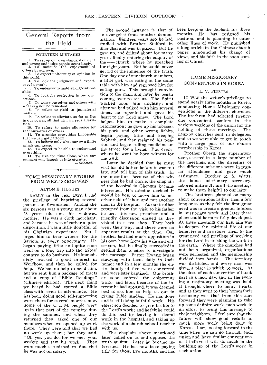#### General Reports from the Field

#### FOURTEEN MISTAKES

1. To set up our own standard of right and wrong and judge people accordingly. 2. To measure the enjoyment of

others by our own. 3. To expect uniformity of opinion in

this world. 4. To look for judgment and experience in youth.

5. To endeavor to mold all dispositions alike.

6. To look for perfection in our own actions.

7. To worry ourselves and others with what can not be remedied.

8. To refuse to yield in immaterial matters.

9. To refuse to alleviate, so far as lies in our power, all that which needs alleviation.

10. To refuse to make allowance for the infirmities of others.

11. To consider everything impossible that we can not perform.

12. To believe only what our own finite minds can grasp.

13. To expect to be able to understand everything.

14. To live for time alone, when any moment may launch us into eternity. *— Selected.* 

#### HOME MISSIONARY STORIES FROM WEST SZECHWAN

#### ALTON E. HUGHES

EARLY in the year 1929, I had the privilege of baptizing several persons in Kwanhsien. Among the six persons was a young man about 23 years old and his widowed mother. He was a cloth merchant, and because he was of rather a quiet disposition, I was a little doubtful of his Christian experience. But I urged him to bear witness for the Saviour at every opportunity. He began paying tithe and quite soon went on a long trip into the tribes' country to do business. He immediately aroused a good interest in Weichow, and then he called for help. We had no help to send him, but we sent him a package of tracts and a copy of " Bible Readings " (Chinese edition). The next thing we heard he had started a Bible class with seven in attendance. He has been doing good self-supporting work there for several months now. Some of the C. I. M. people were up in that part of the country during the summer, and when they returned they asked one of our members when we opened up work there. They were told that we had no work up there ; but they said. " Oh yes, you do ; for we met your worker and saw his work." They were much astonished to find that he was not on salary.

The second instance is that of an evangelist from another denomination. Eighteen years ago he had studied with Brother Stafford in Shanghai and was baptized. But he gave up, and drifted about for many years, finally entering the employ of the --- church, where he preached for eight years. But he could never get rid of the influence of the truth. One day one of our church members, a little girl, was eating at the same table with him and reproved him for eating pork. This brought conviction to the man, and, later he began coming over to see us. The Spirit worked upon him mightily; and after we had talked with him several times, he repented and gave his heart to the Lord anew. The Lord helped him to make a complete reformation; he gave up his tobacco, his pork, and other wrong habits, began paying tithe and keeping Sabbath, and then resigned his position and began selling medicine on the street for a living. But everywhere he went he bore witness for the truth.

Later he decided that he must visit his old father before it was too late, and tell him of this truth. In the meantime, because of the witness that he had borne, the chaplain of the hospital in Chengtu became interested. His mission decided it would be best to move him to another field of labor, and put another man in the hospital. As our brother returned from the visit to his father he met this new preacher and a friendly discussion ensued as they visited in a tea shop. They both went their way, and there were no apparent results at the time. Our brother had had much opposition in his own home from his wife and eldest son, but he finally succeeded in getting them to agree to investigate the message. Pastor Hwang began studying with them daily in their home ; and in a few months the entire family of five were converted and were later baptized. Our brother soon entered the colporteur work ; and later, because of the interest he had aroused, it was deemed best to ask him to help us out in giving Bible studies. He has done and is still doing faithful work. His eldest son decided to give his life to the Lord's work ; and he felt he could do this best by leaving his dental work in the hospital, and taking up the work of a church school teacher with us.

The chaplain above mentioned later called on us and opposed the truth at first. Later he became interested. He has now been paying tithe for about five months, and has

been keeping the Sabbath for three months. He has resigned his position, and is planning to enter other lines of work. He published a long article in the Chinese church paper, announcing his change of views, and his faith in the soon coming of Christ.

#### HOME MISSIONARY CONVENTIONS'IN KOREA

#### L. V. FINSTER

IT WAS the writer's privilege to spend nearly three months in Korea, conducting Home Missionary conventions in the different churches. The brethren had selected twentyone convenient centers in the various sections of the union for the holding of these meetings. The near-by churches sent in delegates, and so we were able to get in touch with a large part of our church membership in Korea.

Brother Oberg, the superintendent, assisted in a large number of the meetings, and the directors of the different missions were in regular attendance and gave much assistance. Brother R. S. Watts, the home missionary secretary, labored untiringly in all the meetings to make them helpful to our laity.

The brethren planned on many short conventions rather than a few long ones, as they felt the first great need was to create a greater interest in missionary work, and later these plans could be more fully developed. At these meetings our first aim was to deepen the spiritual life of our believers and to arouse them to the great need and privilege of working for the Lord in finishing the work in the earth. Where the churches had not been organized, organizations were perfected, and the membership divided into bands. The territory was districted, and every man was given a place in which to work. At the close of each convention all took part in a field day, and in the evening a testimony meeting was held. It brought cheer to many hearts, and as they went to their homes their testimony was that from this time forward they were planning to take up some definite work each week in an effort to bring this message to their neighbors. I feel sure that the future will show good results in much more work being done in Korea. I am looking forward to the time when we can go through each union and have similar conventions, as I believe it will do much in the building up of the Lord's work in each union.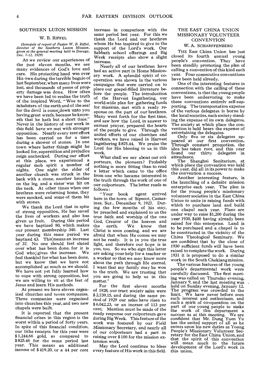#### SOUTHERN LUZON MISSION

#### W. B. RIFFEL

*(Synopsis of report of Pastor W. B. Riffel, director of the Southern Luzon Mission, given at the general meeting held in Daraga, Dec. 7-12, 1929)* 

As we review our experiences of the past eleven months, we see many evidences of God's love and care. His protecting hand was over His own during the terrible baguio of last September, when many lives were lost, and thousands of pesos of property damage was done. How often we have been led to realize the truth of the inspired Word, " Woe to the inhabiters of the earth and of the sea! for the devil is come down unto you having great wrath, because he knoweth that he hath but a short time." Never in the history of our work in this field have we met with stronger opposition. Nearly every tent effort has been carried on for a time during a shower of stones. In one town where better things might be looked for, superstition and prejudice reign unchecked. During our effort at this place, we experienced a regular mob spirit a number of<br>nights. One night the elder of One night the elder of another church was struck in the back with a stone, another brother on the leg, and a sister was hit on the neck. At other times when our brethren were returning home, they were mocked, and some of them hit with stones.

We thank the Lord that in spite of strong opposition, He has saved the lives of workers and also has given us fruit. During this period we have baptized 80, which makes our present membership 340. Last year during this same period we baptized 43. This means an increase of 37. No one should feel elated over what has been done, for it is<br>Cod who gives the increase. We God who gives the increase. feel thankful for what has been done, but we know that we have not accomplished as much as we should. We have not yet fully learned how to cope with strong opposition, but we are willing to sit at the feet of Jesus and learn His methods.

At present we have eleven organized churches and seven companies. Three companies were organized into churches this year, and two new chapels were built.

It is reported that the present financial crises in this region is the worst within a period of forty years. In spite of this financial condition, our tithe receipts for this year were \$ 1,244.66 gold, as compared to \$ 825.46 for the same period last year. This means an additional income of \$ 419.20, or a 44 per cent

increase in comparison with the same period last year. For this we thank the Lord and our brethren whom He has inspired to give to the support of the Lord's work. Our Sabbath school offerings and Big Week receipts also show a slight increase.

Nearly all of our brethren have had an active part in Home Missionary work. A splendid spirit of cooperation was shown in the various campaigns that were carried on to place our gospel-filled literature before the people. The introduction of the Harvest Ingathering, our world-wide plan for gathering funds for missions, met with a ready response on the part of our brethren. Many went forth for the first time, and saw how the Lord, in answer to earnest prayer, prepared the hearts of the people to give. Through the united efforts of our churches and workers, we have raised in Harvest Ingathering \$ 875.44. We praise the Lord for His blessing to us in this work.

What shall we say about our colporteurs, the pioneers? Probably nothing is more fitting than to read a letter which came to the office from one who became interested in the truth through the work of one of our colporteurs. The letter reads as follows:<br>"Your book"

agent arrived here in the town of Sipecot, Camarines, Sur., December 9, 1927. During the few months of his stay, he preached and explained to us the true faith and worship of the one God, Creator of the heaven and the earth. We know that Christ is soon coming, and we are afraid that when He comes we may not be ready. It is in you the true light, and therefore our hope is in you, too. So we who sign this letter are asking your help for a teacher or a worker so that we may know more about the path through life eternal. I want that my family may be won to the truth. We are trusting that you are going to help us in this matter."

For the first eleven months of 1928, our tract society sales were \$ 2,739.15, and during the same period of 1929 our sales have risen to \$ 6,042.23, or an incrase of 113 per cent. Mention must be made of the ready response our colporteurs gave during Big Week. This feature of the work was fostered by our Field Missionary Secretary, and nearly all of our colporteurs had a part in raising over \$ 100 for the mission extension work.

May the Lord continue to bless every feature of His work in this field.

#### THE EAST CHINA UNION MISSIONARY VOLUNTEER **CONVENTION**

#### W. A. SCHARFFENBERG

THE East China Union has just closed its fourth annual young people's convention. They have been steadily promoting the plan of calling a convention of this kind each year. Four consecutive conventions have been held already.

One of the interesting features in connection with the calling of these conventions, is that the young people have been endeavoring to make these conventions entirely self-supporting. The transportation expense of the various delegates is borne by the local societies, each society standing the expense of its own delegates. The society at which place the convention is held bears the expense of entertaining the delegates.

Only five or six delegates ap-peared at our first convention. Through constant promotion, the idea has taken root, and this year found our thirty delegates in attendance.

The Shanghai Sanitarium, at which place the convention was held this year, did all in its power to make the convention a success.

Another interesting feature, is the launching of a definite mission enterprise each year. The plan is for the young people's missionary volunteer societies in the East China Union to unite in raising funds with which to purchase land and build one chapel each year. Plans are under way to raise \$1,200 during the year 1930, \$400 having already been raised for this enterprise. Land is to be purchased and a chapel is to be constructed in the vicinity of the China Theological Seminary. We are confident that by the close of 1930 sufficient funds will have been raised to complete the work. During. 1931 it is proposed to do a similar work in the South Chekiang mission.

The various features of the young, people's departmental work were carefully discussed. The first meeting was called on Thursday evening,. January 9, and the last meeting was held on Sunday evening, January 12. The program was crowded to the limit. We have never before seen such interest and enthusiasm, and such a spirit of co-operation on the part of our young people to make the work of this department a success as at this meeting. We are confident that Mr. Dung Yuen Yu has the united support of all as he enters upon his new duties as Young. People's Missionary Volunteer Secretary for the East China Union, and that the spirit of this convention mean much to the future development of the Lord's work in this union.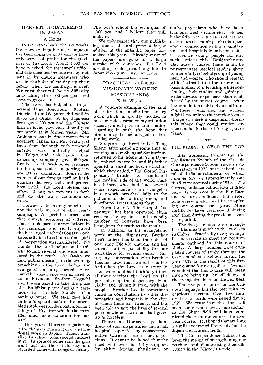#### HARVEST INGATHERING IN JAPAN

 $\mathcal{L}_{\mathbf{A}}(\mathcal{F})$  and  $\mathcal{L}_{\mathbf{A}}$ 

#### A. KOCH

IN LOOKING back the six weeks the Harvest Ingathering Campaign has been going on in Japan, we have only words of praise for the goodness of the Lord. About 4,000 yen have reached the treasurer's office, and this does not include money not sent in by church treasurers who are in the habit of making up their report when the campaign is over. We trust there will be no difficulty in reaching the 6,000 *yen* goal, and hope to go over it.

The Lord has helped us to get several large donations. Brother Dietrich from Okayama, did well in Kobe and Osaka. A big Japanese firm gave 300 *yen* and the Chinese firm in Kobe gave very liberally to our work, as in former years. Mr. Anderson sent in fine reports from northern Japan, and. Mr. Kraft, just back from furlough with renewed energy, very faithfully helped in Tokyo and Yokohama. One steamship company gave 500 *yen.*  Brother Kraft with some Japanese brethren, succeeded in getting several 100 *yen* donations. Some of the women of our foreign staff at headquarters did very well, and proved how richly the Lord blesses our efforts, if only we step out in faith and do the work commissioned to us.

However, the money solicited is not the only success of this year's campaign. A special feature was that church members at different places took part as never before in the campaign, and richly enjoyed the blessing of such missionary work. Especially in Hiroshima a fine spirit of co-operation was manifested. No wonder the Lord helped us in this way to find several who were inter-<br>ested in the truth. At Osaka we ested in the truth. held public meetings in the evening, preaching on the street before the evangelistic meeting started. A remarkable experience was granted to us in Fukuoka. Brother Noguchi and I were asked to take the place of a Buddhist priest during a ceremony for the late founder of a banking house. We each gave half an hour's speech before the assembled employees on the most important things of life, after which the manager made us a donation for our work.

This year's Harvest Ingathering is for the strengthening of our educa-tional work in Japan. Thus, naturally, the school took special interest in it. In spite of some rain the girls went out on their field day and returned home with songs of victory.

The boy's, school has set a goal of 1,000 *yen,* and I believe they will make it.

We only regret that our publishing house did not print a larger edition of the splendid paper furnished this year. Already most of the papers are gone in a large number of the churches. The Lord is willing to do great things here in Japan if only we trust him more.

#### PRACTICAL MEDICAL MISSIONARY WORK IN MISSION LANDS

•

#### K. H. WOOD

A concrete example of the kind of Christian medical-missionary work which is greatly needed in mission fields, came to my attention recently, and I pass on information regarding it with the hope that others may be encouraged to do a similar work.

Six years ago, Brother Lee Tung Sheng, after spending some time in training at our Shanghai Sanitarium, returned to his home at Ying Djoufu, Anhwei, where he and his father opened a small medical institution which they called, "The Gospel Dispensary." Brother Lee conducted the medical side of the work, while his father, who had had several years' experience as an evangelist in our work, preached daily to the patients in the waiting room, and distributed tracts among them.

From the first, "The Gospel Dispensary" has been operated along real missionary lines, and a goodly number of converts have been brought to the truth as the result.

In addition to his evangelistic work at the dispensary, Brother Lee's father has been the elder of our Ying Djou-fu church, and has carried full responsibility for our work there for several years. During my conversation with Brother Lee, he stated that he and his father had taken the Lord as partner in their work, and had faithfully tithed all their receipts, the Lord on His part blessing the dispensary financially, and giving it favor with the people. Brother Lee is sometimes called in consultation by other dispensaries and hospitals in the city, of which there are twenty, and has been able to save the lives of several persons whom the others had given up as hopeless.

There is need for scores, yes hundreds, of such dispensaries and small hospitals, operated by consecrated, native Christian nurses and physicians. It cannot be hoped that the need will ever be fully supplied by either foreign physicians, or

native physicians who have been trained in western countries. Hence, it shouldbe one of the chief objectives of the nurses' training schools operated in connection with our sanitariums and hospitals in mission fields, to prepare young people for just such service as this. Besides the regular nurses' course, there could be post-graduate medical studies given to a carefully selected group of young men and women who should remain with the institution for a time on a basis similar to internship while continuing their studies and gaining a wider medical experience than is afforded by the nurses' course. After the completion of this advanced training, these young men and women might be sent into the interior to take charge of mission dispensary-hospitals, where they could render service similar to that of foreign physicians.

#### THE FIRESIDE OVER THE TOP

It is interesting to note that the Far Eastern Branch of the Fireside Correspondence School, since its organization in 1922. has received a total of 1.956 enrollments of which number 617, or approximately one third, were secured during 1929. The Correspondence School idea is gradually taking root in the Far East, and we are confident that before long every worker will be completing one course each year. More certificates have been issued during 1929 than during the previous sevenyear period.

The five-year course for evangelists has meant much to the workers in China. Practically every evangelist is striving to meet the requirements outlined in this course of study. A large number have completed courses of study through the Correspondence School during the year 1929 as the result of this fiveyear course for evangelists. We are confident that this course will mean much to bring up the efficiency of the evangelists here in the Far East.

The five-year course in the Chinese language has also met with exceptional success. Over two hundred credit cards were issued during 1929. We trust that the time will soon come when every missionary in the China field will have completed the requirements of this fiveyear course. It is hoped that ere long a similar course will be ready for the Japan and Korean fields.

The Correspondence School has been the means of strengthening our workers, and of increasing their efficiency in the Master's service.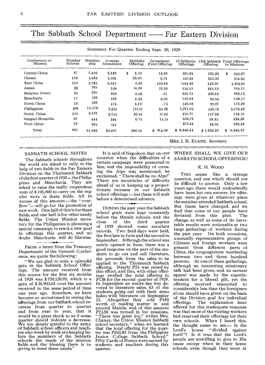The Sabbath School Department ------- Far Eastern Division

| Conference or<br>Mission | Number<br>Schools | Member-<br>ship | Average.<br>Attendance | Birthdav<br>Offering |        | Investment<br>Fund Offering | 12 Sabbaths<br>Offerings | Offering   | 13th Sabbath Total Offerings<br>to Missions |          |
|--------------------------|-------------------|-----------------|------------------------|----------------------|--------|-----------------------------|--------------------------|------------|---------------------------------------------|----------|
| Central China            | 87                | 2,406           | 2,146                  | \$                   | 8.79   | 12.98                       | 401.24                   | 125.66     | \$                                          | 548.67   |
| Chosen                   | 119               | 5,684           | 4,382                  |                      | 32.90  | 9.74                        | 558.60                   | 215.36     |                                             | 816.60   |
| East China               | 113               | 3,793           | 3.045                  |                      | 5.32   | 109.49                      | 1024.89                  | 123.90     |                                             | 1,263.60 |
| Japan                    | 22                | 765             | 529                    |                      | 14.34  | 18.50                       | 514.51                   | 243.42     |                                             | 790.77   |
| Malayan Union            | 25                | 930             | 869                    |                      | 4.06   | .51                         | 635.73                   | 228,43     |                                             | 868.73   |
| Manchuria                | 17                | 425             | 330                    |                      | 4.25   | 3.00                        | 110.44                   | 39.04      |                                             | 156.73   |
| North China              | 18                | 497             | 474                    |                      | 4.12   | .75                         | 140.02                   | 28.37      |                                             | 173.26   |
| Philippines              | 308               | 11,576          | 9,231                  |                      | 271.60 | 35.03                       | 1,871.05                 | 599.74     |                                             | 2,775.42 |
| South China              | 103               | 3,567           | 2,711                  |                      | 28.34  | 11.42                       | 610.79                   | 147.68     |                                             | 798.23   |
| Sungari-Mongolia         | 10                | 448             | 394                    |                      | 6.78   | 15,14                       | 306.73                   | 99.61      |                                             | 428.26   |
| West China               | 39                | 995             | 945                    |                      |        |                             | 272.44                   | 48.05      |                                             | 320.49   |
| Total                    | 861               | 31,086          | 25,056                 |                      | 380.50 | 214.56<br>\$.               | \$6,446.44               | \$1,899.26 | s.                                          | 8,940.76 |

#### SABBATH SCHOOL NOTES

The Sabbath schools throughout the world are asked to rally to the help of two fields in the Far Eastern Division on the Thirteenth Sabbath of the first quarter of 1930—the Philippines and Manchuria. They are asked to raise the really stupendous sum of \$ 105,000 to carry on the regular work in these fields. All in excess of this amount-the "overflow "- will go for the promotion of new work. One half of this is for these fields, and one half is for other needy fields. The Union Mission secretary for the Philippines is planning a special campaign to reach a new goal in offerings this quarter, and no doubt Manchuria will do likewise.

FROM a letter from the Treasury Department of the General Conference, we quote the following :

" We are glad to note a splendid gain in the Sabbath School Offerings. The amount received from this source for the first six months of 1929 was \$ 720,120.95, which is a gain of \$ 26,903.62 over the amount received in the same period of time one year ago. Somehow, we have become so accustomed to seeing the offerings from our Sabbath school increase from quarter to and from year to year, that it would be a great shock to us if some quarter should indicate a decrease. We are deeply grateful to the army of Sabbath school officers and teachers who week by week are keeping before the members of the Sabbath schools the needs of the mission fields and the blessing there is in giving to meet these needs."

It is said of Napoleon that on one occasion when the difficulties of a certain campaign were presented to him, and the impossibility of crossing the Alps was mentioned, he exclaimed, " There shall be no Alps!" There are mountains of difficulty ahead of us in keeping up a proportionate increase in our Sabbath school offerings - but these will melt before a determined advance.

DURING the past year the Sabbath school goals were kept constantly before the Manila schools, and the close of the third quarter of 1929 showed some excellent records. Two field days were held, the first late in June and the second in September. Although the school was newly opened in June, there was a good response on the part of the students to go out and sell literature, the proceeds from the sales to be applied to the Thirteenth Sabbath offering. Nearly P23 was raised by this effort, and this, with other offerings swelled the total offering to P138 for the second quarter of 1929. In September an entire day was devoted to literature sales, 63 of the students going out with their arms laden with literature on September 22. Altogether they sold P150 worth of reading matter in and around Manila, and of this amount P73.55 was turned in for missions. " There was great joy," writes Mrs. Chaney, the Union Mission Sabbath school secretary, " when we learned that the total offering for the quarter was P242.83 from the Philippine Junior College Sabbath School." Fifty Cards of Honor were earned by students and teachers during this quarter.

#### WHERE SHALL WE GIVE OUR SABBATH SCHOOL OFFERINGS ?

#### K. H. WOOD

THIS seems like a strange question, and one which should not be difficult to answer. Only a few years ago, there would undoubtedly have been but one answer, for offerings were given at whatever place the member attended Sabbath school. But times have changed, and we find that some of our people have<br>deviated from this plan. The deviated from this plan. change, as well as some of its inevitable results were noticeable at two large gatherings of workers during the past year. On both occasions, unusually representative groups of Chinese and foreign workers were present from different parts of China, the congregations numbering between two and three hundred persons. At one of these gatherings, although an interesting missionary talk had been given, and an earnest appeal was made by the superintendent for a liberal gift, yet the<br>offering received amounted to offering received amounted considerably less than the foreigners alone should have given on the basis of the Division goal for individual<br>offerings. The explanation later The explanation later offered for this inadequate response was that most of the visiting workers had reserved their offerings for their own schools. When I heard this, the thought came to me,— Is the Lord's house "divided against " divided against itself "? Is it true that the Lord's people are unwilling to give to His cause except when in their home schools, even though they must at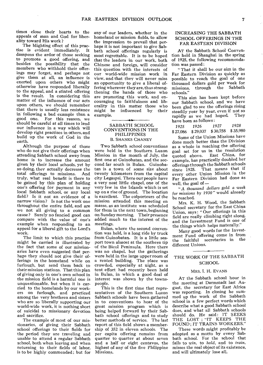times close their hearts to the appeals of man and God for liberality toward His work ?

The blighting effect of this practise is evident immediately. It dampens the ardor of those seeking to promote a good offering, and besides the possibility that the members who withhold their offerings may forget, and perhaps not give them at all, an influence is exerted upon others who might otherwise have responded liberally to the appeal, and a stinted offering is the result. In considering this matter of the influence of our acts upon others, we should remember that there is usually less resistance in following a bad example than a good one. For this reason, we should be careful at all times to lend our influence in a way which will develop right practises in others, and build up the work of God in the earth.

Although the purpose of those who do not give their offerings when attending Sabbath school away from home is to increase the amount given by their local schools, yet by so doing, they actually decrease the total offerings to missions. And truly, what real benefit is there to be gained by this plan of holding one's offering for payment in any local Sabbath school, or any local field? Is it not an evidence of a narrow vision? Is not the work one throughout the entire field, and are we not all giving to a common cause? Surely no fancied good can compare with the value of one's example when responding to an appeal for a liberal gift to the Lord's work.

The limit to which this practise might be carried is illustrated by the fact that some of our missionaries have even suggested that perhaps they should not give their offerings in the homeland while on furlough, but send them back to their mission stations. That this plan of giving only in one's own school in the mission field is a harmful one is unquestionable, but when it is carried to the homelands by our workers on furlough, and practiced among the very brethren and sisters who are so liberally supporting our world-wide work, it is nothing short of suicidal to missionary devotion and sacrifice.

The example of most of our missionaries, of giving their Sabbath school offerings to their fields for the period they are traveling and unable to attend a regular Sabbath school, both when leaving and when returning to their fields of labor, is to be highly commended; but for

any of our leaders, whether in the homeland or mission fields, to allow the impression to prevail that perhaps it is not important to give Sabbath school offerings regularly is most regrettable. It is to be hoped that the leaders in our work, both Chinese and foreign, will consider this question with the interests of our world-wide mission work in view, and that they will never miss an opportunity to give a liberal offering wherever they are, thus strengthening the hands of those who are promoting this work, and encouraging to faithfulness and liberality in this matter those who might be influenced by their example.

#### SABBATH SCHOOL CONVENTIONS IN THE PHILIPPINES B. SHANKS CHANEY

--

Two Sabbath school conventions were held in the Southern Luzon Mission in the month of July, the first one at Guinobatan, and the seccond far south in Bulan. Guinobatan is a town of some size about twenty kilometers from the capital city Legaspsi. There our people have a very neat little chapel, one of the very few in the Islands which is set up on a rise of ground. The location is excellent. The colporteurs of the mission attended this meeting en masse, as an institute was scheduled for them in the next town, beginning on Sunday morning. Their presence added much to the interest of the meetings.

Bulan, where the second convention was held, is a long ride by truck from Guinobatan. It is a little seaport town almost at the southern tip of the Bicol Peninsula. Here there was no chapel, but the gatherings were held in the large upper room of a rented building. The place was crowded, especially at night, as a tent effort had recently been held in Bulan, in which a good deal of interest was shown by the townspeople.

This is the first time that representatives of the Southern Luzon Sabbath schools have been gathered in to conventions to hear of the great mission program which is being helped forward by their Sabbath school offerings and to study better methods of service. The last report of this field shows a membership of 352 in eleven schools. The per capita offering remains from quarter to quarter at about seven and a half or eight centavos, the highest of any of the five Philippine Missions.

#### INCREASING THE SABBATH SCHOOL OFFERINGS IN THE FAR EASTERN DIVISION

AT the Sabbath School Convention held in Shanghai in the spring of 1925, the following recommendation was passed :

" That it shall be our aim in the Far Eastern Division as quickly as possible to reach the goal of one thousand dollars gold per week for<br>missions, through the Sabbath missions, through schools."

This aim has been kept before our Sabbath school, and we have been glad to see the offerings rising steadily year by year, even if not so<br>rapidly as we had hoped. They rapidly as we had hoped. have been as follows :

1925 1926 1927 *<sup>1928</sup>* \$ 27,086 \$ 29,037 \$ 30,758 \$ 35,980

Some of the Union Missions have done much better than the Division as a whole in reaching the offering goal set for us in the resolution quoted above. East China, for example, has practically doubled her offerings through the Sabbath schools since 1925. That means that if every other Union Mission in the Far Eastern Division had done as well, the goal of —

"A *thousand dollars gold a week*  for missions *by 1930"* would already be reached.

Mrs. K. H. Wood, the Sabbath School secretary for the East China Union, says : " Our offerings in this field are really climbing right along, and the Investment Fund is one of the things which helps materally."

Many good words for the Investment Fund offering come in from the faithful secretaries in the different Unions.

#### THE WORK OF THE SABBATH **SCHOOL**

#### MRS. I. H. EVANS

AT the Sabbath school hour in the meeting at Darmstadt last August, the secretary for East Africa was reporting. In closing he summed up the work of the Sabbath school in a few perfect words which describe what a good Sabbath school does, and what all Sabbath schools should do. He said: IT SEEKS THE LOST ; "IT KEEPS THE FOUND ; IT TRAINS WORKERS."

These words might profitably be adopted as a motto by every Sabbath school. For the school that fails to *win,* to *hold,* and to *train,*  misses the real object of its existence, and will ultimately lose all.